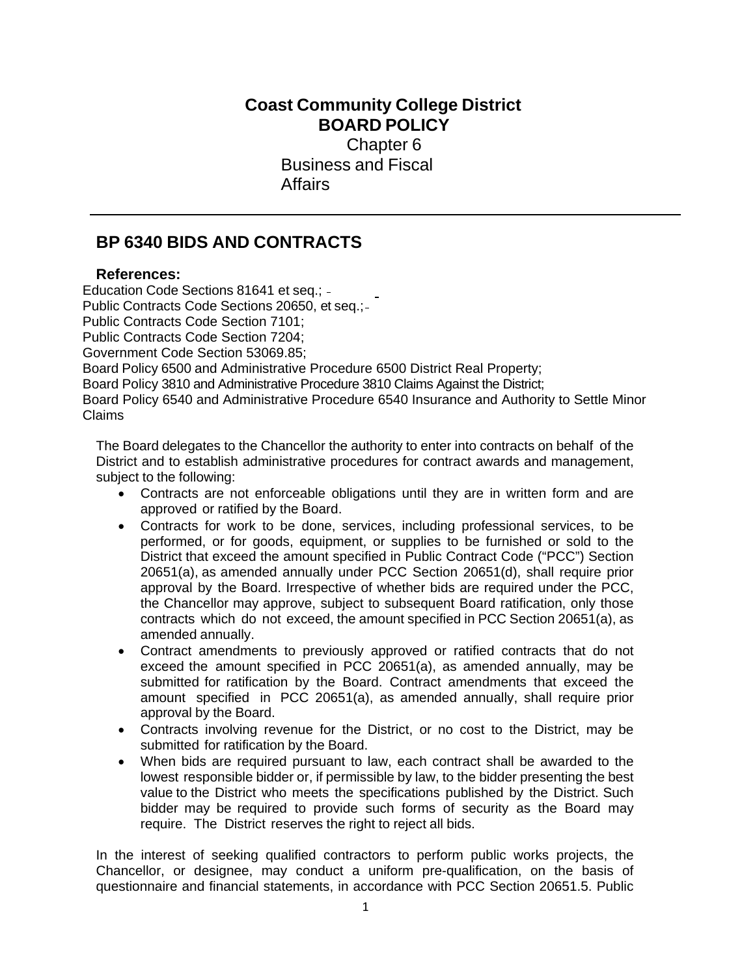## **Coast Community College District BOARD POLICY**

Chapter 6 Business and Fiscal **Affairs** 

## **BP 6340 BIDS AND CONTRACTS**

## **References:**

Education Code Sections 81641 et seq.; Public Contracts Code Sections 20650, et seq.; Public Contracts Code Section 7101; Public Contracts Code Section 7204; Government Code Section 53069.85; Board Policy 6500 and Administrative Procedure 6500 District Real Property; Board Policy 3810 and Administrative Procedure 3810 Claims Against the District; Board Policy 6540 and Administrative Procedure 6540 Insurance and Authority to Settle Minor Claims

The Board delegates to the Chancellor the authority to enter into contracts on behalf of the District and to establish administrative procedures for contract awards and management, subject to the following:

- Contracts are not enforceable obligations until they are in written form and are approved or ratified by the Board.
- Contracts for work to be done, services, including professional services, to be performed, or for goods, equipment, or supplies to be furnished or sold to the District that exceed the amount specified in Public Contract Code ("PCC") Section 20651(a), as amended annually under PCC Section 20651(d), shall require prior approval by the Board. Irrespective of whether bids are required under the PCC, the Chancellor may approve, subject to subsequent Board ratification, only those contracts which do not exceed, the amount specified in PCC Section 20651(a), as amended annually.
- Contract amendments to previously approved or ratified contracts that do not exceed the amount specified in PCC 20651(a), as amended annually, may be submitted for ratification by the Board. Contract amendments that exceed the amount specified in PCC 20651(a), as amended annually, shall require prior approval by the Board.
- Contracts involving revenue for the District, or no cost to the District, may be submitted for ratification by the Board.
- When bids are required pursuant to law, each contract shall be awarded to the lowest responsible bidder or, if permissible by law, to the bidder presenting the best value to the District who meets the specifications published by the District. Such bidder may be required to provide such forms of security as the Board may require. The District reserves the right to reject all bids.

In the interest of seeking qualified contractors to perform public works projects, the Chancellor, or designee, may conduct a uniform pre-qualification, on the basis of questionnaire and financial statements, in accordance with PCC Section 20651.5. Public